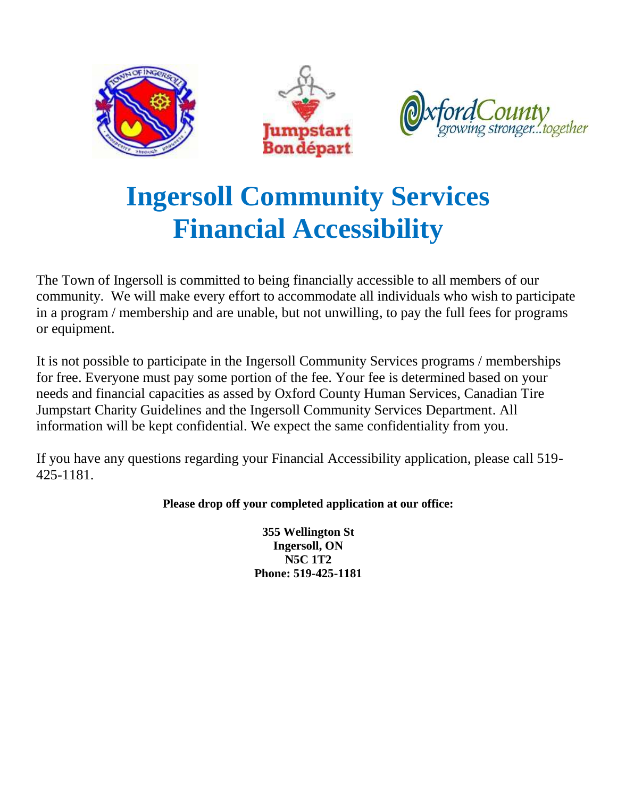

The Town of Ingersoll is committed to being financially accessible to all members of our community. We will make every effort to accommodate all individuals who wish to participate in a program / membership and are unable, but not unwilling, to pay the full fees for programs or equipment.

It is not possible to participate in the Ingersoll Community Services programs / memberships for free. Everyone must pay some portion of the fee. Your fee is determined based on your needs and financial capacities as assed by Oxford County Human Services, Canadian Tire Jumpstart Charity Guidelines and the Ingersoll Community Services Department. All information will be kept confidential. We expect the same confidentiality from you.

If you have any questions regarding your Financial Accessibility application, please call 519- 425-1181.

#### **Please drop off your completed application at our office:**

**355 Wellington St Ingersoll, ON N5C 1T2 Phone: 519-425-1181**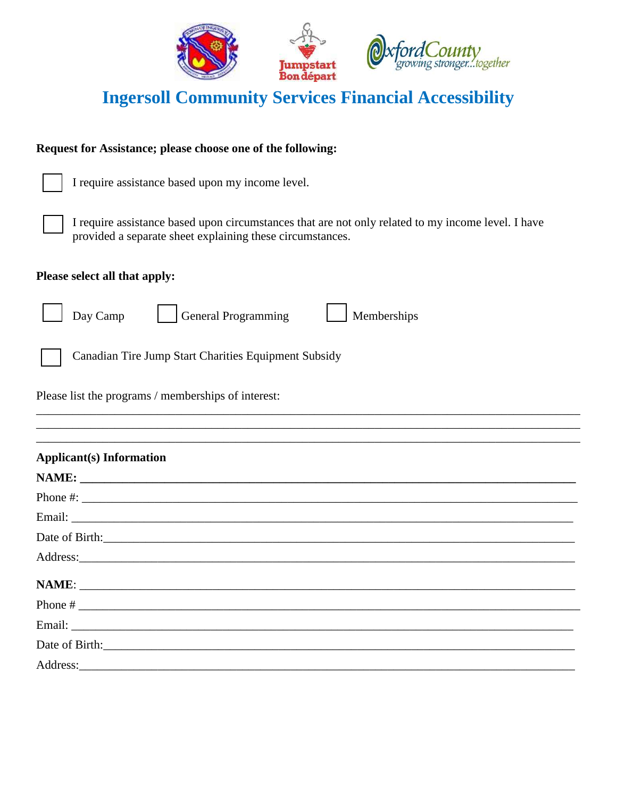

#### **Request for Assistance; please choose one of the following:**

I require assistance based upon my income level.

I require assistance based upon circumstances that are not only related to my income level. I have provided a separate sheet explaining these circumstances.

#### **Please select all that apply:**



Day Camp General Programming Memberships

Canadian Tire Jump Start Charities Equipment Subsidy

Please list the programs / memberships of interest:

| <b>Applicant(s)</b> Information |
|---------------------------------|
| NAME:                           |
|                                 |
|                                 |
|                                 |
|                                 |
|                                 |
|                                 |
|                                 |
|                                 |
|                                 |

\_\_\_\_\_\_\_\_\_\_\_\_\_\_\_\_\_\_\_\_\_\_\_\_\_\_\_\_\_\_\_\_\_\_\_\_\_\_\_\_\_\_\_\_\_\_\_\_\_\_\_\_\_\_\_\_\_\_\_\_\_\_\_\_\_\_\_\_\_\_\_\_\_\_\_\_\_\_\_\_\_\_\_\_\_\_\_\_\_\_ \_\_\_\_\_\_\_\_\_\_\_\_\_\_\_\_\_\_\_\_\_\_\_\_\_\_\_\_\_\_\_\_\_\_\_\_\_\_\_\_\_\_\_\_\_\_\_\_\_\_\_\_\_\_\_\_\_\_\_\_\_\_\_\_\_\_\_\_\_\_\_\_\_\_\_\_\_\_\_\_\_\_\_\_\_\_\_\_\_\_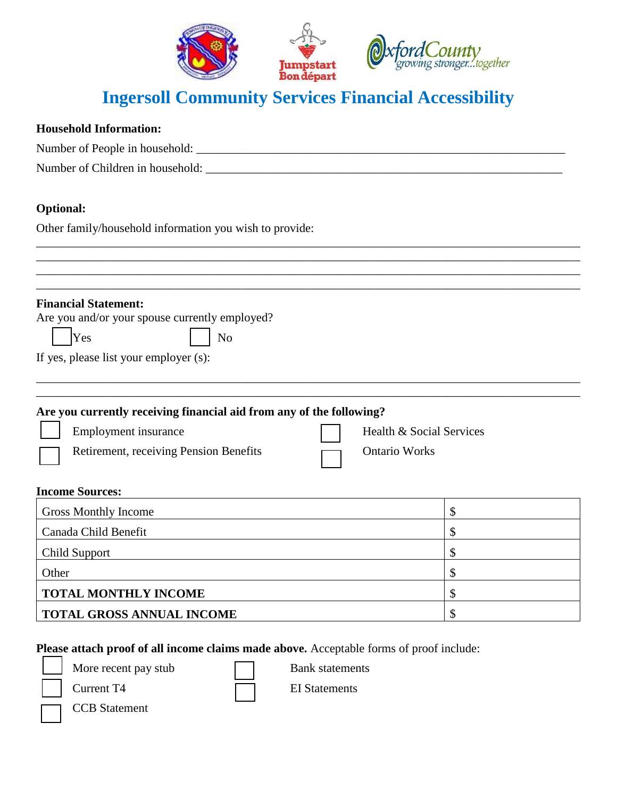

#### **Household Information:**

| Number of People in household:   |  |
|----------------------------------|--|
| Number of Children in household: |  |

#### **Optional:**

Other family/household information you wish to provide:

| <b>Financial Statement:</b>                                          |                          |
|----------------------------------------------------------------------|--------------------------|
| Are you and/or your spouse currently employed?                       |                          |
| Yes<br>N <sub>o</sub>                                                |                          |
| If yes, please list your employer (s):                               |                          |
|                                                                      |                          |
|                                                                      |                          |
| Are you currently receiving financial aid from any of the following? |                          |
| Employment insurance                                                 | Health & Social Services |
| Retirement, receiving Pension Benefits                               | <b>Ontario Works</b>     |
| <b>Income Sources:</b>                                               |                          |
| <b>Gross Monthly Income</b>                                          | \$                       |
| Canada Child Benefit                                                 | \$                       |
| Child Support                                                        | \$                       |
| Other                                                                | \$                       |
| <b>TOTAL MONTHLY INCOME</b>                                          | \$                       |
|                                                                      |                          |

**Please attach proof of all income claims made above.** Acceptable forms of proof include:

More recent pay stub Bank statements

Current T4 EI Statements

CCB Statement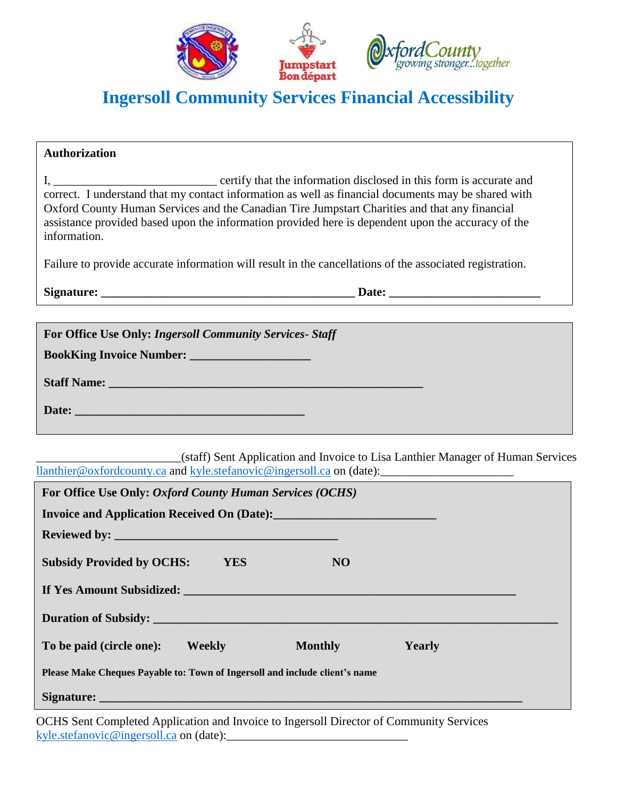

| <b>Authorization</b>                                                                                                                                                                                                                                                                                                       |  |
|----------------------------------------------------------------------------------------------------------------------------------------------------------------------------------------------------------------------------------------------------------------------------------------------------------------------------|--|
| correct. I understand that my contact information as well as financial documents may be shared with<br>Oxford County Human Services and the Canadian Tire Jumpstart Charities and that any financial<br>assistance provided based upon the information provided here is dependent upon the accuracy of the<br>information. |  |
| Failure to provide accurate information will result in the cancellations of the associated registration.                                                                                                                                                                                                                   |  |
|                                                                                                                                                                                                                                                                                                                            |  |
|                                                                                                                                                                                                                                                                                                                            |  |
| For Office Use Only: Ingersoll Community Services- Staff                                                                                                                                                                                                                                                                   |  |
|                                                                                                                                                                                                                                                                                                                            |  |
| Staff Name: Name and Staff Name and Staff Name and Staff Name and Staff Name and Staff Name and Staff Name and Staff Name and Staff Name and Staff Name and Staff Name and Staff Name and Staff Name and Staff Name and Staff                                                                                              |  |
| Date: No. 1996. The Commission of the Commission of the Commission of the Commission of the Commission of the Commission of the Commission of the Commission of the Commission of the Commission of the Commission of the Comm                                                                                             |  |
| (staff) Sent Application and Invoice to Lisa Lanthier Manager of Human Services                                                                                                                                                                                                                                            |  |
| For Office Use Only: Oxford County Human Services (OCHS)                                                                                                                                                                                                                                                                   |  |
|                                                                                                                                                                                                                                                                                                                            |  |
|                                                                                                                                                                                                                                                                                                                            |  |
| <b>Subsidy Provided by OCHS:</b><br><b>YES</b><br>N <sub>O</sub>                                                                                                                                                                                                                                                           |  |
| If Yes Amount Subsidized:                                                                                                                                                                                                                                                                                                  |  |
| <b>Duration of Subsidy:</b>                                                                                                                                                                                                                                                                                                |  |
| To be paid (circle one):<br><b>Weekly</b><br><b>Monthly</b><br><b>Yearly</b>                                                                                                                                                                                                                                               |  |
| Please Make Cheques Payable to: Town of Ingersoll and include client's name                                                                                                                                                                                                                                                |  |

Signature:

OCHS Sent Completed Application and Invoice to Ingersoll Director of Community Services [kyle.stefanovic@ingersoll.ca](mailto:kyle.stefanovic@ingersoll.ca) on (date):\_\_\_\_\_\_\_\_\_\_\_\_\_\_\_\_\_\_\_\_\_\_\_\_\_\_\_\_\_\_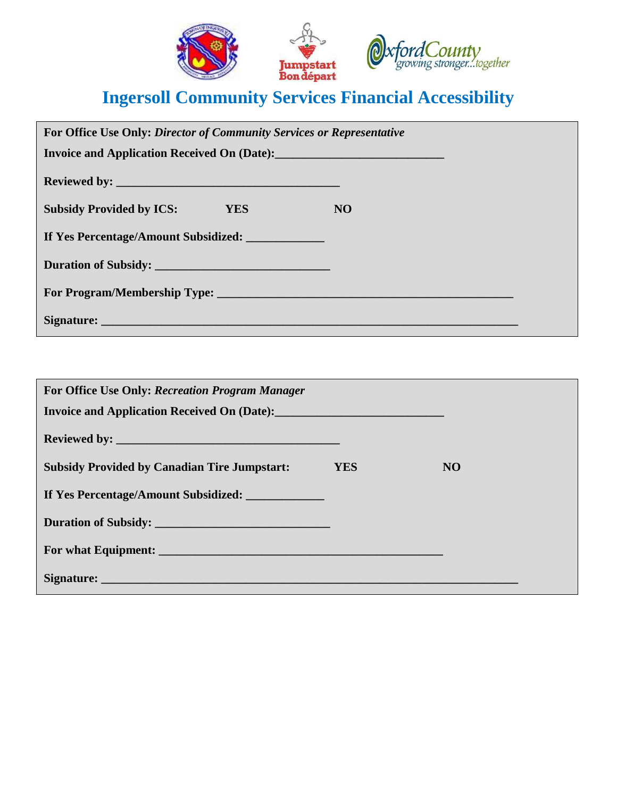

| For Office Use Only: Director of Community Services or Representative |           |
|-----------------------------------------------------------------------|-----------|
|                                                                       |           |
|                                                                       |           |
| <b>Subsidy Provided by ICS:</b><br><b>YES</b>                         | <b>NO</b> |
| If Yes Percentage/Amount Subsidized:                                  |           |
| Duration of Subsidy:                                                  |           |
|                                                                       |           |
|                                                                       |           |

| For Office Use Only: Recreation Program Manager                                                 |            |           |
|-------------------------------------------------------------------------------------------------|------------|-----------|
|                                                                                                 |            |           |
| <b>Subsidy Provided by Canadian Tire Jumpstart:</b>                                             | <b>YES</b> | <b>NO</b> |
| If Yes Percentage/Amount Subsidized:                                                            |            |           |
| Duration of Subsidy:                                                                            |            |           |
| For what Equipment: <b>Example 2018 Contract 2018 Contract 2018 Contract 2018 Contract 2018</b> |            |           |
|                                                                                                 |            |           |